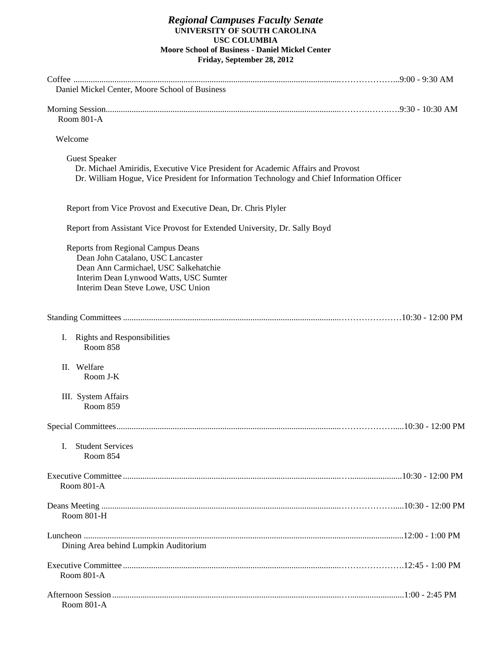#### *Regional Campuses Faculty Senate*  **UNIVERSITY OF SOUTH CAROLINA USC COLUMBIA Moore School of Business - Daniel Mickel Center Friday, September 28, 2012**

| Daniel Mickel Center, Moore School of Business                                                                                                                                                          |  |
|---------------------------------------------------------------------------------------------------------------------------------------------------------------------------------------------------------|--|
| <b>Room 801-A</b>                                                                                                                                                                                       |  |
| Welcome                                                                                                                                                                                                 |  |
| <b>Guest Speaker</b><br>Dr. Michael Amiridis, Executive Vice President for Academic Affairs and Provost<br>Dr. William Hogue, Vice President for Information Technology and Chief Information Officer   |  |
| Report from Vice Provost and Executive Dean, Dr. Chris Plyler                                                                                                                                           |  |
| Report from Assistant Vice Provost for Extended University, Dr. Sally Boyd                                                                                                                              |  |
| <b>Reports from Regional Campus Deans</b><br>Dean John Catalano, USC Lancaster<br>Dean Ann Carmichael, USC Salkehatchie<br>Interim Dean Lynwood Watts, USC Sumter<br>Interim Dean Steve Lowe, USC Union |  |
|                                                                                                                                                                                                         |  |
| <b>Rights and Responsibilities</b><br>$\mathbf{I}$ .<br>Room 858                                                                                                                                        |  |
| II. Welfare<br>Room J-K                                                                                                                                                                                 |  |
| III. System Affairs<br>Room 859                                                                                                                                                                         |  |
|                                                                                                                                                                                                         |  |
| <b>Student Services</b><br>L<br>Room 854                                                                                                                                                                |  |
| Room 801-A                                                                                                                                                                                              |  |
| Room 801-H                                                                                                                                                                                              |  |
| Dining Area behind Lumpkin Auditorium                                                                                                                                                                   |  |
| Room 801-A                                                                                                                                                                                              |  |
| Room 801-A                                                                                                                                                                                              |  |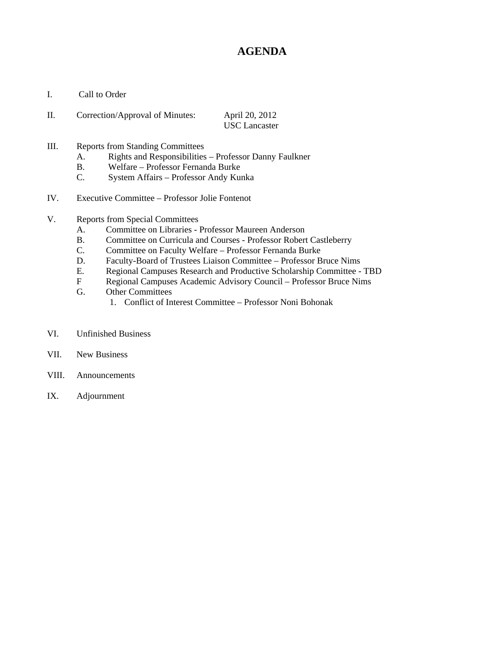# **AGENDA**

I. Call to Order

| П. | Correction/Approval of Minutes: | April 20, 2012       |
|----|---------------------------------|----------------------|
|    |                                 | <b>USC</b> Lancaster |

- III. Reports from Standing Committees
	- A. Rights and Responsibilities Professor Danny Faulkner
	- B. Welfare Professor Fernanda Burke
	- C. System Affairs Professor Andy Kunka
- IV. Executive Committee Professor Jolie Fontenot
- V. Reports from Special Committees
	- A. Committee on Libraries Professor Maureen Anderson
	- B. Committee on Curricula and Courses Professor Robert Castleberry
	- C. Committee on Faculty Welfare Professor Fernanda Burke
	- D. Faculty-Board of Trustees Liaison Committee Professor Bruce Nims
	- E. Regional Campuses Research and Productive Scholarship Committee TBD
	- F Regional Campuses Academic Advisory Council Professor Bruce Nims
	- G. Other Committees
		- 1. Conflict of Interest Committee Professor Noni Bohonak
- VI. Unfinished Business
- VII. New Business
- VIII. Announcements
- IX. Adjournment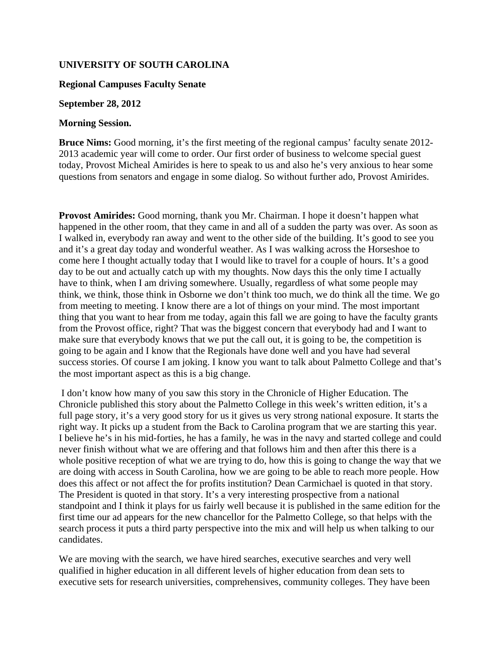## **UNIVERSITY OF SOUTH CAROLINA**

#### **Regional Campuses Faculty Senate**

#### **September 28, 2012**

#### **Morning Session.**

**Bruce Nims:** Good morning, it's the first meeting of the regional campus' faculty senate 2012- 2013 academic year will come to order. Our first order of business to welcome special guest today, Provost Micheal Amirides is here to speak to us and also he's very anxious to hear some questions from senators and engage in some dialog. So without further ado, Provost Amirides.

**Provost Amirides:** Good morning, thank you Mr. Chairman. I hope it doesn't happen what happened in the other room, that they came in and all of a sudden the party was over. As soon as I walked in, everybody ran away and went to the other side of the building. It's good to see you and it's a great day today and wonderful weather. As I was walking across the Horseshoe to come here I thought actually today that I would like to travel for a couple of hours. It's a good day to be out and actually catch up with my thoughts. Now days this the only time I actually have to think, when I am driving somewhere. Usually, regardless of what some people may think, we think, those think in Osborne we don't think too much, we do think all the time. We go from meeting to meeting. I know there are a lot of things on your mind. The most important thing that you want to hear from me today, again this fall we are going to have the faculty grants from the Provost office, right? That was the biggest concern that everybody had and I want to make sure that everybody knows that we put the call out, it is going to be, the competition is going to be again and I know that the Regionals have done well and you have had several success stories. Of course I am joking. I know you want to talk about Palmetto College and that's the most important aspect as this is a big change.

 I don't know how many of you saw this story in the Chronicle of Higher Education. The Chronicle published this story about the Palmetto College in this week's written edition, it's a full page story, it's a very good story for us it gives us very strong national exposure. It starts the right way. It picks up a student from the Back to Carolina program that we are starting this year. I believe he's in his mid-forties, he has a family, he was in the navy and started college and could never finish without what we are offering and that follows him and then after this there is a whole positive reception of what we are trying to do, how this is going to change the way that we are doing with access in South Carolina, how we are going to be able to reach more people. How does this affect or not affect the for profits institution? Dean Carmichael is quoted in that story. The President is quoted in that story. It's a very interesting prospective from a national standpoint and I think it plays for us fairly well because it is published in the same edition for the first time our ad appears for the new chancellor for the Palmetto College, so that helps with the search process it puts a third party perspective into the mix and will help us when talking to our candidates.

We are moving with the search, we have hired searches, executive searches and very well qualified in higher education in all different levels of higher education from dean sets to executive sets for research universities, comprehensives, community colleges. They have been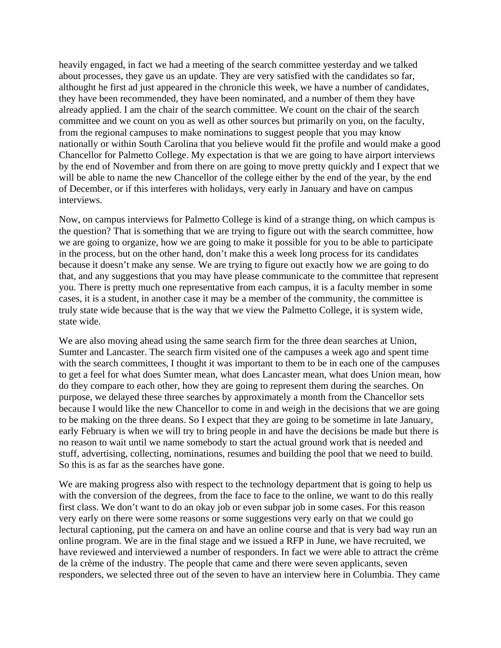heavily engaged, in fact we had a meeting of the search committee yesterday and we talked about processes, they gave us an update. They are very satisfied with the candidates so far, althought he first ad just appeared in the chronicle this week, we have a number of candidates, they have been recommended, they have been nominated, and a number of them they have already applied. I am the chair of the search committee. We count on the chair of the search committee and we count on you as well as other sources but primarily on you, on the faculty, from the regional campuses to make nominations to suggest people that you may know nationally or within South Carolina that you believe would fit the profile and would make a good Chancellor for Palmetto College. My expectation is that we are going to have airport interviews by the end of November and from there on are going to move pretty quickly and I expect that we will be able to name the new Chancellor of the college either by the end of the year, by the end of December, or if this interferes with holidays, very early in January and have on campus interviews.

Now, on campus interviews for Palmetto College is kind of a strange thing, on which campus is the question? That is something that we are trying to figure out with the search committee, how we are going to organize, how we are going to make it possible for you to be able to participate in the process, but on the other hand, don't make this a week long process for its candidates because it doesn't make any sense. We are trying to figure out exactly how we are going to do that, and any suggestions that you may have please communicate to the committee that represent you. There is pretty much one representative from each campus, it is a faculty member in some cases, it is a student, in another case it may be a member of the community, the committee is truly state wide because that is the way that we view the Palmetto College, it is system wide, state wide.

We are also moving ahead using the same search firm for the three dean searches at Union, Sumter and Lancaster. The search firm visited one of the campuses a week ago and spent time with the search committees, I thought it was important to them to be in each one of the campuses to get a feel for what does Sumter mean, what does Lancaster mean, what does Union mean, how do they compare to each other, how they are going to represent them during the searches. On purpose, we delayed these three searches by approximately a month from the Chancellor sets because I would like the new Chancellor to come in and weigh in the decisions that we are going to be making on the three deans. So I expect that they are going to be sometime in late January, early February is when we will try to bring people in and have the decisions be made but there is no reason to wait until we name somebody to start the actual ground work that is needed and stuff, advertising, collecting, nominations, resumes and building the pool that we need to build. So this is as far as the searches have gone.

We are making progress also with respect to the technology department that is going to help us with the conversion of the degrees, from the face to face to the online, we want to do this really first class. We don't want to do an okay job or even subpar job in some cases. For this reason very early on there were some reasons or some suggestions very early on that we could go lectural captioning, put the camera on and have an online course and that is very bad way run an online program. We are in the final stage and we issued a RFP in June, we have recruited, we have reviewed and interviewed a number of responders. In fact we were able to attract the crème de la crème of the industry. The people that came and there were seven applicants, seven responders, we selected three out of the seven to have an interview here in Columbia. They came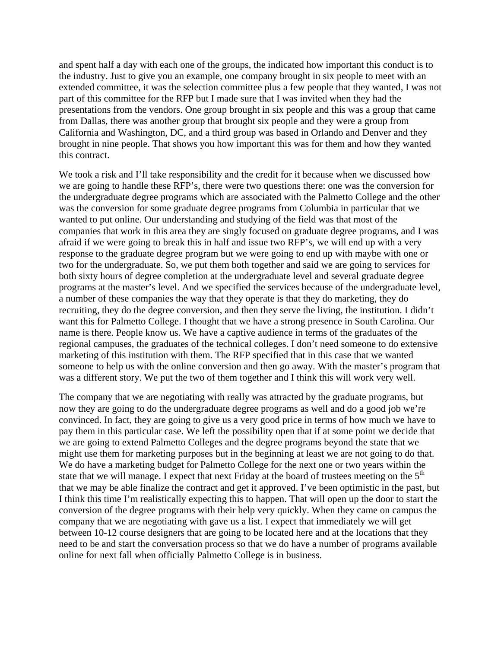and spent half a day with each one of the groups, the indicated how important this conduct is to the industry. Just to give you an example, one company brought in six people to meet with an extended committee, it was the selection committee plus a few people that they wanted, I was not part of this committee for the RFP but I made sure that I was invited when they had the presentations from the vendors. One group brought in six people and this was a group that came from Dallas, there was another group that brought six people and they were a group from California and Washington, DC, and a third group was based in Orlando and Denver and they brought in nine people. That shows you how important this was for them and how they wanted this contract.

We took a risk and I'll take responsibility and the credit for it because when we discussed how we are going to handle these RFP's, there were two questions there: one was the conversion for the undergraduate degree programs which are associated with the Palmetto College and the other was the conversion for some graduate degree programs from Columbia in particular that we wanted to put online. Our understanding and studying of the field was that most of the companies that work in this area they are singly focused on graduate degree programs, and I was afraid if we were going to break this in half and issue two RFP's, we will end up with a very response to the graduate degree program but we were going to end up with maybe with one or two for the undergraduate. So, we put them both together and said we are going to services for both sixty hours of degree completion at the undergraduate level and several graduate degree programs at the master's level. And we specified the services because of the undergraduate level, a number of these companies the way that they operate is that they do marketing, they do recruiting, they do the degree conversion, and then they serve the living, the institution. I didn't want this for Palmetto College. I thought that we have a strong presence in South Carolina. Our name is there. People know us. We have a captive audience in terms of the graduates of the regional campuses, the graduates of the technical colleges. I don't need someone to do extensive marketing of this institution with them. The RFP specified that in this case that we wanted someone to help us with the online conversion and then go away. With the master's program that was a different story. We put the two of them together and I think this will work very well.

The company that we are negotiating with really was attracted by the graduate programs, but now they are going to do the undergraduate degree programs as well and do a good job we're convinced. In fact, they are going to give us a very good price in terms of how much we have to pay them in this particular case. We left the possibility open that if at some point we decide that we are going to extend Palmetto Colleges and the degree programs beyond the state that we might use them for marketing purposes but in the beginning at least we are not going to do that. We do have a marketing budget for Palmetto College for the next one or two years within the state that we will manage. I expect that next Friday at the board of trustees meeting on the  $5<sup>th</sup>$ that we may be able finalize the contract and get it approved. I've been optimistic in the past, but I think this time I'm realistically expecting this to happen. That will open up the door to start the conversion of the degree programs with their help very quickly. When they came on campus the company that we are negotiating with gave us a list. I expect that immediately we will get between 10-12 course designers that are going to be located here and at the locations that they need to be and start the conversation process so that we do have a number of programs available online for next fall when officially Palmetto College is in business.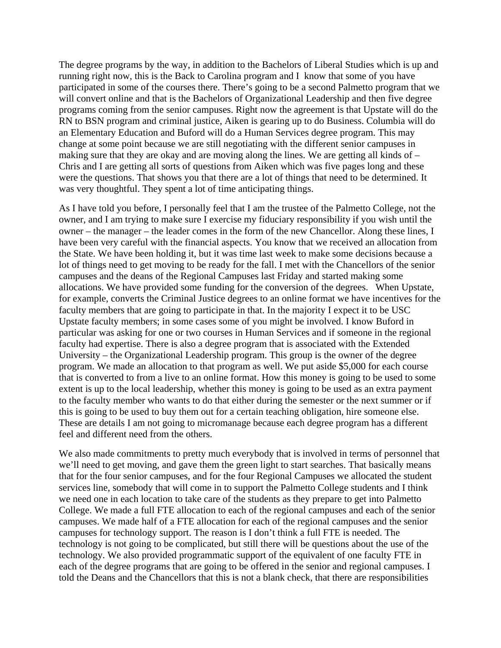The degree programs by the way, in addition to the Bachelors of Liberal Studies which is up and running right now, this is the Back to Carolina program and I know that some of you have participated in some of the courses there. There's going to be a second Palmetto program that we will convert online and that is the Bachelors of Organizational Leadership and then five degree programs coming from the senior campuses. Right now the agreement is that Upstate will do the RN to BSN program and criminal justice, Aiken is gearing up to do Business. Columbia will do an Elementary Education and Buford will do a Human Services degree program. This may change at some point because we are still negotiating with the different senior campuses in making sure that they are okay and are moving along the lines. We are getting all kinds of – Chris and I are getting all sorts of questions from Aiken which was five pages long and these were the questions. That shows you that there are a lot of things that need to be determined. It was very thoughtful. They spent a lot of time anticipating things.

As I have told you before, I personally feel that I am the trustee of the Palmetto College, not the owner, and I am trying to make sure I exercise my fiduciary responsibility if you wish until the owner – the manager – the leader comes in the form of the new Chancellor. Along these lines, I have been very careful with the financial aspects. You know that we received an allocation from the State. We have been holding it, but it was time last week to make some decisions because a lot of things need to get moving to be ready for the fall. I met with the Chancellors of the senior campuses and the deans of the Regional Campuses last Friday and started making some allocations. We have provided some funding for the conversion of the degrees. When Upstate, for example, converts the Criminal Justice degrees to an online format we have incentives for the faculty members that are going to participate in that. In the majority I expect it to be USC Upstate faculty members; in some cases some of you might be involved. I know Buford in particular was asking for one or two courses in Human Services and if someone in the regional faculty had expertise. There is also a degree program that is associated with the Extended University – the Organizational Leadership program. This group is the owner of the degree program. We made an allocation to that program as well. We put aside \$5,000 for each course that is converted to from a live to an online format. How this money is going to be used to some extent is up to the local leadership, whether this money is going to be used as an extra payment to the faculty member who wants to do that either during the semester or the next summer or if this is going to be used to buy them out for a certain teaching obligation, hire someone else. These are details I am not going to micromanage because each degree program has a different feel and different need from the others.

We also made commitments to pretty much everybody that is involved in terms of personnel that we'll need to get moving, and gave them the green light to start searches. That basically means that for the four senior campuses, and for the four Regional Campuses we allocated the student services line, somebody that will come in to support the Palmetto College students and I think we need one in each location to take care of the students as they prepare to get into Palmetto College. We made a full FTE allocation to each of the regional campuses and each of the senior campuses. We made half of a FTE allocation for each of the regional campuses and the senior campuses for technology support. The reason is I don't think a full FTE is needed. The technology is not going to be complicated, but still there will be questions about the use of the technology. We also provided programmatic support of the equivalent of one faculty FTE in each of the degree programs that are going to be offered in the senior and regional campuses. I told the Deans and the Chancellors that this is not a blank check, that there are responsibilities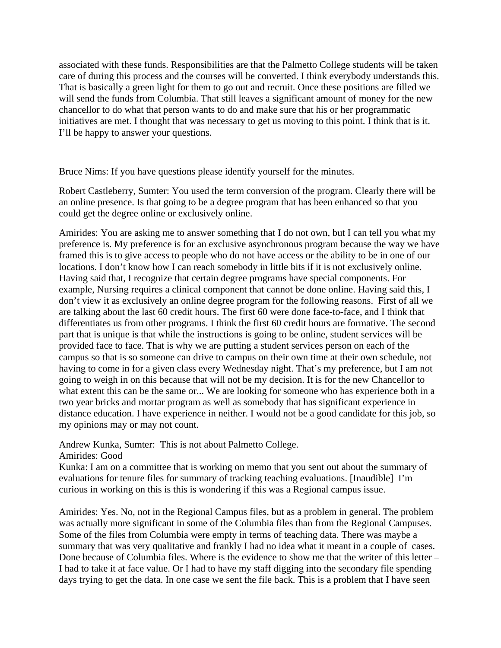associated with these funds. Responsibilities are that the Palmetto College students will be taken care of during this process and the courses will be converted. I think everybody understands this. That is basically a green light for them to go out and recruit. Once these positions are filled we will send the funds from Columbia. That still leaves a significant amount of money for the new chancellor to do what that person wants to do and make sure that his or her programmatic initiatives are met. I thought that was necessary to get us moving to this point. I think that is it. I'll be happy to answer your questions.

Bruce Nims: If you have questions please identify yourself for the minutes.

Robert Castleberry, Sumter: You used the term conversion of the program. Clearly there will be an online presence. Is that going to be a degree program that has been enhanced so that you could get the degree online or exclusively online.

Amirides: You are asking me to answer something that I do not own, but I can tell you what my preference is. My preference is for an exclusive asynchronous program because the way we have framed this is to give access to people who do not have access or the ability to be in one of our locations. I don't know how I can reach somebody in little bits if it is not exclusively online. Having said that, I recognize that certain degree programs have special components. For example, Nursing requires a clinical component that cannot be done online. Having said this, I don't view it as exclusively an online degree program for the following reasons. First of all we are talking about the last 60 credit hours. The first 60 were done face-to-face, and I think that differentiates us from other programs. I think the first 60 credit hours are formative. The second part that is unique is that while the instructions is going to be online, student services will be provided face to face. That is why we are putting a student services person on each of the campus so that is so someone can drive to campus on their own time at their own schedule, not having to come in for a given class every Wednesday night. That's my preference, but I am not going to weigh in on this because that will not be my decision. It is for the new Chancellor to what extent this can be the same or... We are looking for someone who has experience both in a two year bricks and mortar program as well as somebody that has significant experience in distance education. I have experience in neither. I would not be a good candidate for this job, so my opinions may or may not count.

Andrew Kunka, Sumter: This is not about Palmetto College.

Amirides: Good

Kunka: I am on a committee that is working on memo that you sent out about the summary of evaluations for tenure files for summary of tracking teaching evaluations. [Inaudible] I'm curious in working on this is this is wondering if this was a Regional campus issue.

Amirides: Yes. No, not in the Regional Campus files, but as a problem in general. The problem was actually more significant in some of the Columbia files than from the Regional Campuses. Some of the files from Columbia were empty in terms of teaching data. There was maybe a summary that was very qualitative and frankly I had no idea what it meant in a couple of cases. Done because of Columbia files. Where is the evidence to show me that the writer of this letter – I had to take it at face value. Or I had to have my staff digging into the secondary file spending days trying to get the data. In one case we sent the file back. This is a problem that I have seen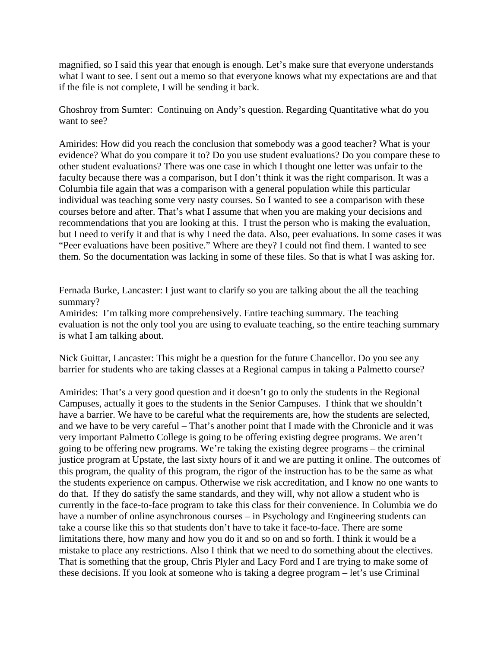magnified, so I said this year that enough is enough. Let's make sure that everyone understands what I want to see. I sent out a memo so that everyone knows what my expectations are and that if the file is not complete, I will be sending it back.

Ghoshroy from Sumter: Continuing on Andy's question. Regarding Quantitative what do you want to see?

Amirides: How did you reach the conclusion that somebody was a good teacher? What is your evidence? What do you compare it to? Do you use student evaluations? Do you compare these to other student evaluations? There was one case in which I thought one letter was unfair to the faculty because there was a comparison, but I don't think it was the right comparison. It was a Columbia file again that was a comparison with a general population while this particular individual was teaching some very nasty courses. So I wanted to see a comparison with these courses before and after. That's what I assume that when you are making your decisions and recommendations that you are looking at this. I trust the person who is making the evaluation, but I need to verify it and that is why I need the data. Also, peer evaluations. In some cases it was "Peer evaluations have been positive." Where are they? I could not find them. I wanted to see them. So the documentation was lacking in some of these files. So that is what I was asking for.

Fernada Burke, Lancaster: I just want to clarify so you are talking about the all the teaching summary?

Amirides: I'm talking more comprehensively. Entire teaching summary. The teaching evaluation is not the only tool you are using to evaluate teaching, so the entire teaching summary is what I am talking about.

Nick Guittar, Lancaster: This might be a question for the future Chancellor. Do you see any barrier for students who are taking classes at a Regional campus in taking a Palmetto course?

Amirides: That's a very good question and it doesn't go to only the students in the Regional Campuses, actually it goes to the students in the Senior Campuses. I think that we shouldn't have a barrier. We have to be careful what the requirements are, how the students are selected, and we have to be very careful – That's another point that I made with the Chronicle and it was very important Palmetto College is going to be offering existing degree programs. We aren't going to be offering new programs. We're taking the existing degree programs – the criminal justice program at Upstate, the last sixty hours of it and we are putting it online. The outcomes of this program, the quality of this program, the rigor of the instruction has to be the same as what the students experience on campus. Otherwise we risk accreditation, and I know no one wants to do that. If they do satisfy the same standards, and they will, why not allow a student who is currently in the face-to-face program to take this class for their convenience. In Columbia we do have a number of online asynchronous courses – in Psychology and Engineering students can take a course like this so that students don't have to take it face-to-face. There are some limitations there, how many and how you do it and so on and so forth. I think it would be a mistake to place any restrictions. Also I think that we need to do something about the electives. That is something that the group, Chris Plyler and Lacy Ford and I are trying to make some of these decisions. If you look at someone who is taking a degree program – let's use Criminal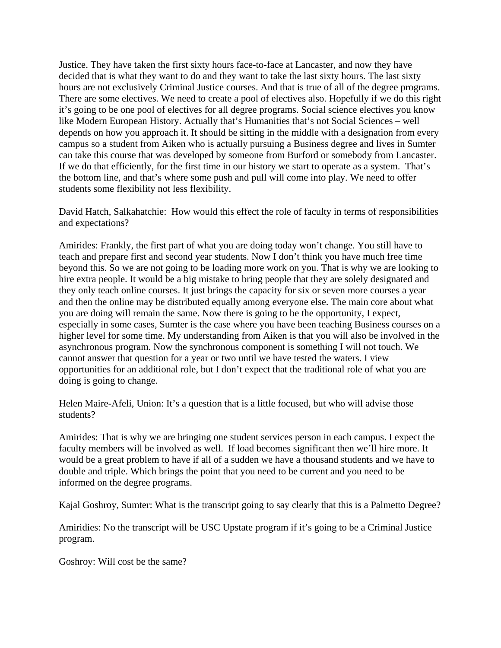Justice. They have taken the first sixty hours face-to-face at Lancaster, and now they have decided that is what they want to do and they want to take the last sixty hours. The last sixty hours are not exclusively Criminal Justice courses. And that is true of all of the degree programs. There are some electives. We need to create a pool of electives also. Hopefully if we do this right it's going to be one pool of electives for all degree programs. Social science electives you know like Modern European History. Actually that's Humanities that's not Social Sciences – well depends on how you approach it. It should be sitting in the middle with a designation from every campus so a student from Aiken who is actually pursuing a Business degree and lives in Sumter can take this course that was developed by someone from Burford or somebody from Lancaster. If we do that efficiently, for the first time in our history we start to operate as a system. That's the bottom line, and that's where some push and pull will come into play. We need to offer students some flexibility not less flexibility.

David Hatch, Salkahatchie: How would this effect the role of faculty in terms of responsibilities and expectations?

Amirides: Frankly, the first part of what you are doing today won't change. You still have to teach and prepare first and second year students. Now I don't think you have much free time beyond this. So we are not going to be loading more work on you. That is why we are looking to hire extra people. It would be a big mistake to bring people that they are solely designated and they only teach online courses. It just brings the capacity for six or seven more courses a year and then the online may be distributed equally among everyone else. The main core about what you are doing will remain the same. Now there is going to be the opportunity, I expect, especially in some cases, Sumter is the case where you have been teaching Business courses on a higher level for some time. My understanding from Aiken is that you will also be involved in the asynchronous program. Now the synchronous component is something I will not touch. We cannot answer that question for a year or two until we have tested the waters. I view opportunities for an additional role, but I don't expect that the traditional role of what you are doing is going to change.

Helen Maire-Afeli, Union: It's a question that is a little focused, but who will advise those students?

Amirides: That is why we are bringing one student services person in each campus. I expect the faculty members will be involved as well. If load becomes significant then we'll hire more. It would be a great problem to have if all of a sudden we have a thousand students and we have to double and triple. Which brings the point that you need to be current and you need to be informed on the degree programs.

Kajal Goshroy, Sumter: What is the transcript going to say clearly that this is a Palmetto Degree?

Amiridies: No the transcript will be USC Upstate program if it's going to be a Criminal Justice program.

Goshroy: Will cost be the same?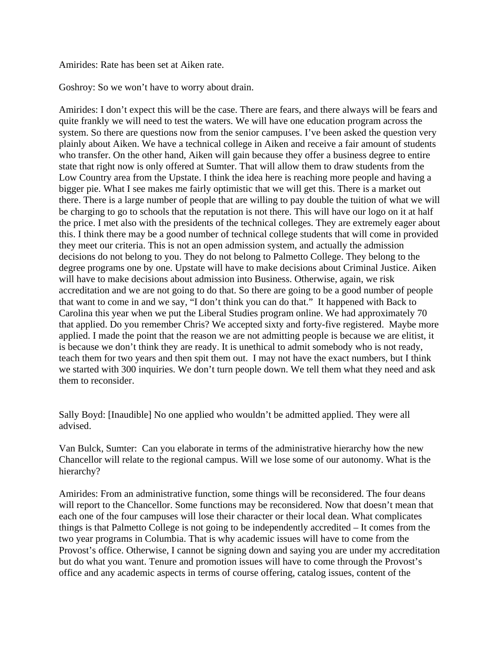Amirides: Rate has been set at Aiken rate.

Goshroy: So we won't have to worry about drain.

Amirides: I don't expect this will be the case. There are fears, and there always will be fears and quite frankly we will need to test the waters. We will have one education program across the system. So there are questions now from the senior campuses. I've been asked the question very plainly about Aiken. We have a technical college in Aiken and receive a fair amount of students who transfer. On the other hand, Aiken will gain because they offer a business degree to entire state that right now is only offered at Sumter. That will allow them to draw students from the Low Country area from the Upstate. I think the idea here is reaching more people and having a bigger pie. What I see makes me fairly optimistic that we will get this. There is a market out there. There is a large number of people that are willing to pay double the tuition of what we will be charging to go to schools that the reputation is not there. This will have our logo on it at half the price. I met also with the presidents of the technical colleges. They are extremely eager about this. I think there may be a good number of technical college students that will come in provided they meet our criteria. This is not an open admission system, and actually the admission decisions do not belong to you. They do not belong to Palmetto College. They belong to the degree programs one by one. Upstate will have to make decisions about Criminal Justice. Aiken will have to make decisions about admission into Business. Otherwise, again, we risk accreditation and we are not going to do that. So there are going to be a good number of people that want to come in and we say, "I don't think you can do that." It happened with Back to Carolina this year when we put the Liberal Studies program online. We had approximately 70 that applied. Do you remember Chris? We accepted sixty and forty-five registered. Maybe more applied. I made the point that the reason we are not admitting people is because we are elitist, it is because we don't think they are ready. It is unethical to admit somebody who is not ready, teach them for two years and then spit them out. I may not have the exact numbers, but I think we started with 300 inquiries. We don't turn people down. We tell them what they need and ask them to reconsider.

Sally Boyd: [Inaudible] No one applied who wouldn't be admitted applied. They were all advised.

Van Bulck, Sumter: Can you elaborate in terms of the administrative hierarchy how the new Chancellor will relate to the regional campus. Will we lose some of our autonomy. What is the hierarchy?

Amirides: From an administrative function, some things will be reconsidered. The four deans will report to the Chancellor. Some functions may be reconsidered. Now that doesn't mean that each one of the four campuses will lose their character or their local dean. What complicates things is that Palmetto College is not going to be independently accredited – It comes from the two year programs in Columbia. That is why academic issues will have to come from the Provost's office. Otherwise, I cannot be signing down and saying you are under my accreditation but do what you want. Tenure and promotion issues will have to come through the Provost's office and any academic aspects in terms of course offering, catalog issues, content of the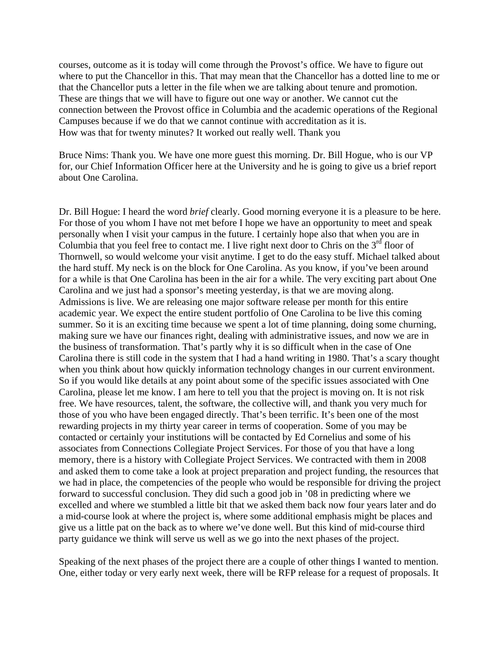courses, outcome as it is today will come through the Provost's office. We have to figure out where to put the Chancellor in this. That may mean that the Chancellor has a dotted line to me or that the Chancellor puts a letter in the file when we are talking about tenure and promotion. These are things that we will have to figure out one way or another. We cannot cut the connection between the Provost office in Columbia and the academic operations of the Regional Campuses because if we do that we cannot continue with accreditation as it is. How was that for twenty minutes? It worked out really well. Thank you

Bruce Nims: Thank you. We have one more guest this morning. Dr. Bill Hogue, who is our VP for, our Chief Information Officer here at the University and he is going to give us a brief report about One Carolina.

Dr. Bill Hogue: I heard the word *brief* clearly. Good morning everyone it is a pleasure to be here. For those of you whom I have not met before I hope we have an opportunity to meet and speak personally when I visit your campus in the future. I certainly hope also that when you are in Columbia that you feel free to contact me. I live right next door to Chris on the  $3<sup>rd</sup>$  floor of Thornwell, so would welcome your visit anytime. I get to do the easy stuff. Michael talked about the hard stuff. My neck is on the block for One Carolina. As you know, if you've been around for a while is that One Carolina has been in the air for a while. The very exciting part about One Carolina and we just had a sponsor's meeting yesterday, is that we are moving along. Admissions is live. We are releasing one major software release per month for this entire academic year. We expect the entire student portfolio of One Carolina to be live this coming summer. So it is an exciting time because we spent a lot of time planning, doing some churning, making sure we have our finances right, dealing with administrative issues, and now we are in the business of transformation. That's partly why it is so difficult when in the case of One Carolina there is still code in the system that I had a hand writing in 1980. That's a scary thought when you think about how quickly information technology changes in our current environment. So if you would like details at any point about some of the specific issues associated with One Carolina, please let me know. I am here to tell you that the project is moving on. It is not risk free. We have resources, talent, the software, the collective will, and thank you very much for those of you who have been engaged directly. That's been terrific. It's been one of the most rewarding projects in my thirty year career in terms of cooperation. Some of you may be contacted or certainly your institutions will be contacted by Ed Cornelius and some of his associates from Connections Collegiate Project Services. For those of you that have a long memory, there is a history with Collegiate Project Services. We contracted with them in 2008 and asked them to come take a look at project preparation and project funding, the resources that we had in place, the competencies of the people who would be responsible for driving the project forward to successful conclusion. They did such a good job in '08 in predicting where we excelled and where we stumbled a little bit that we asked them back now four years later and do a mid-course look at where the project is, where some additional emphasis might be places and give us a little pat on the back as to where we've done well. But this kind of mid-course third party guidance we think will serve us well as we go into the next phases of the project.

Speaking of the next phases of the project there are a couple of other things I wanted to mention. One, either today or very early next week, there will be RFP release for a request of proposals. It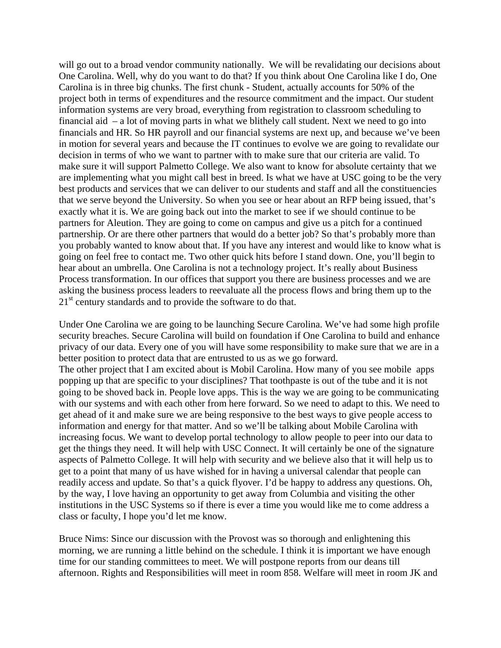will go out to a broad vendor community nationally. We will be revalidating our decisions about One Carolina. Well, why do you want to do that? If you think about One Carolina like I do, One Carolina is in three big chunks. The first chunk - Student, actually accounts for 50% of the project both in terms of expenditures and the resource commitment and the impact. Our student information systems are very broad, everything from registration to classroom scheduling to financial aid – a lot of moving parts in what we blithely call student. Next we need to go into financials and HR. So HR payroll and our financial systems are next up, and because we've been in motion for several years and because the IT continues to evolve we are going to revalidate our decision in terms of who we want to partner with to make sure that our criteria are valid. To make sure it will support Palmetto College. We also want to know for absolute certainty that we are implementing what you might call best in breed. Is what we have at USC going to be the very best products and services that we can deliver to our students and staff and all the constituencies that we serve beyond the University. So when you see or hear about an RFP being issued, that's exactly what it is. We are going back out into the market to see if we should continue to be partners for Aleution. They are going to come on campus and give us a pitch for a continued partnership. Or are there other partners that would do a better job? So that's probably more than you probably wanted to know about that. If you have any interest and would like to know what is going on feel free to contact me. Two other quick hits before I stand down. One, you'll begin to hear about an umbrella. One Carolina is not a technology project. It's really about Business Process transformation. In our offices that support you there are business processes and we are asking the business process leaders to reevaluate all the process flows and bring them up to the  $21<sup>st</sup>$  century standards and to provide the software to do that.

Under One Carolina we are going to be launching Secure Carolina. We've had some high profile security breaches. Secure Carolina will build on foundation if One Carolina to build and enhance privacy of our data. Every one of you will have some responsibility to make sure that we are in a better position to protect data that are entrusted to us as we go forward.

The other project that I am excited about is Mobil Carolina. How many of you see mobile apps popping up that are specific to your disciplines? That toothpaste is out of the tube and it is not going to be shoved back in. People love apps. This is the way we are going to be communicating with our systems and with each other from here forward. So we need to adapt to this. We need to get ahead of it and make sure we are being responsive to the best ways to give people access to information and energy for that matter. And so we'll be talking about Mobile Carolina with increasing focus. We want to develop portal technology to allow people to peer into our data to get the things they need. It will help with USC Connect. It will certainly be one of the signature aspects of Palmetto College. It will help with security and we believe also that it will help us to get to a point that many of us have wished for in having a universal calendar that people can readily access and update. So that's a quick flyover. I'd be happy to address any questions. Oh, by the way, I love having an opportunity to get away from Columbia and visiting the other institutions in the USC Systems so if there is ever a time you would like me to come address a class or faculty, I hope you'd let me know.

Bruce Nims: Since our discussion with the Provost was so thorough and enlightening this morning, we are running a little behind on the schedule. I think it is important we have enough time for our standing committees to meet. We will postpone reports from our deans till afternoon. Rights and Responsibilities will meet in room 858. Welfare will meet in room JK and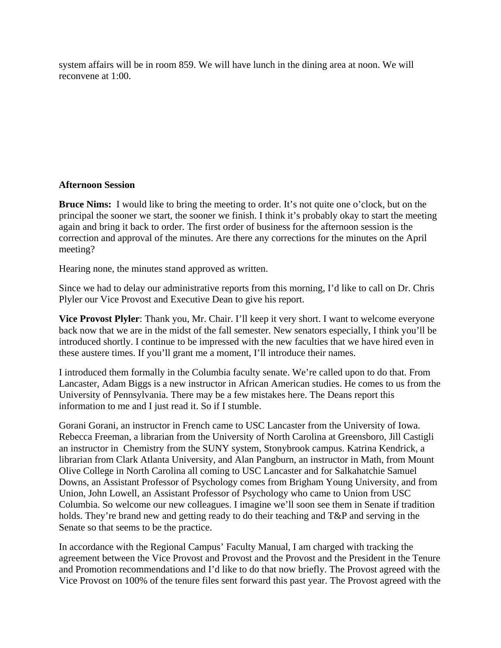system affairs will be in room 859. We will have lunch in the dining area at noon. We will reconvene at 1:00.

## **Afternoon Session**

**Bruce Nims:** I would like to bring the meeting to order. It's not quite one o'clock, but on the principal the sooner we start, the sooner we finish. I think it's probably okay to start the meeting again and bring it back to order. The first order of business for the afternoon session is the correction and approval of the minutes. Are there any corrections for the minutes on the April meeting?

Hearing none, the minutes stand approved as written.

Since we had to delay our administrative reports from this morning, I'd like to call on Dr. Chris Plyler our Vice Provost and Executive Dean to give his report.

**Vice Provost Plyler**: Thank you, Mr. Chair. I'll keep it very short. I want to welcome everyone back now that we are in the midst of the fall semester. New senators especially, I think you'll be introduced shortly. I continue to be impressed with the new faculties that we have hired even in these austere times. If you'll grant me a moment, I'll introduce their names.

I introduced them formally in the Columbia faculty senate. We're called upon to do that. From Lancaster, Adam Biggs is a new instructor in African American studies. He comes to us from the University of Pennsylvania. There may be a few mistakes here. The Deans report this information to me and I just read it. So if I stumble.

Gorani Gorani, an instructor in French came to USC Lancaster from the University of Iowa. Rebecca Freeman, a librarian from the University of North Carolina at Greensboro, Jill Castigli an instructor in Chemistry from the SUNY system, Stonybrook campus. Katrina Kendrick, a librarian from Clark Atlanta University, and Alan Pangburn, an instructor in Math, from Mount Olive College in North Carolina all coming to USC Lancaster and for Salkahatchie Samuel Downs, an Assistant Professor of Psychology comes from Brigham Young University, and from Union, John Lowell, an Assistant Professor of Psychology who came to Union from USC Columbia. So welcome our new colleagues. I imagine we'll soon see them in Senate if tradition holds. They're brand new and getting ready to do their teaching and T&P and serving in the Senate so that seems to be the practice.

In accordance with the Regional Campus' Faculty Manual, I am charged with tracking the agreement between the Vice Provost and Provost and the Provost and the President in the Tenure and Promotion recommendations and I'd like to do that now briefly. The Provost agreed with the Vice Provost on 100% of the tenure files sent forward this past year. The Provost agreed with the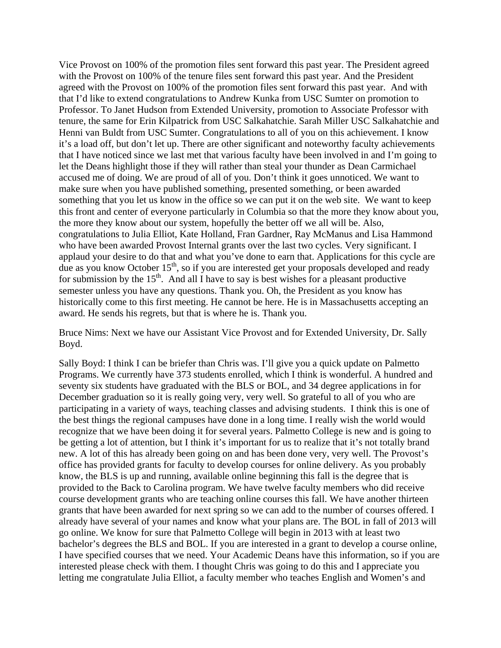Vice Provost on 100% of the promotion files sent forward this past year. The President agreed with the Provost on 100% of the tenure files sent forward this past year. And the President agreed with the Provost on 100% of the promotion files sent forward this past year. And with that I'd like to extend congratulations to Andrew Kunka from USC Sumter on promotion to Professor. To Janet Hudson from Extended University, promotion to Associate Professor with tenure, the same for Erin Kilpatrick from USC Salkahatchie. Sarah Miller USC Salkahatchie and Henni van Buldt from USC Sumter. Congratulations to all of you on this achievement. I know it's a load off, but don't let up. There are other significant and noteworthy faculty achievements that I have noticed since we last met that various faculty have been involved in and I'm going to let the Deans highlight those if they will rather than steal your thunder as Dean Carmichael accused me of doing. We are proud of all of you. Don't think it goes unnoticed. We want to make sure when you have published something, presented something, or been awarded something that you let us know in the office so we can put it on the web site. We want to keep this front and center of everyone particularly in Columbia so that the more they know about you, the more they know about our system, hopefully the better off we all will be. Also, congratulations to Julia Elliot, Kate Holland, Fran Gardner, Ray McManus and Lisa Hammond who have been awarded Provost Internal grants over the last two cycles. Very significant. I applaud your desire to do that and what you've done to earn that. Applications for this cycle are due as you know October  $15<sup>th</sup>$ , so if you are interested get your proposals developed and ready for submission by the  $15<sup>th</sup>$ . And all I have to say is best wishes for a pleasant productive semester unless you have any questions. Thank you. Oh, the President as you know has historically come to this first meeting. He cannot be here. He is in Massachusetts accepting an award. He sends his regrets, but that is where he is. Thank you.

Bruce Nims: Next we have our Assistant Vice Provost and for Extended University, Dr. Sally Boyd.

Sally Boyd: I think I can be briefer than Chris was. I'll give you a quick update on Palmetto Programs. We currently have 373 students enrolled, which I think is wonderful. A hundred and seventy six students have graduated with the BLS or BOL, and 34 degree applications in for December graduation so it is really going very, very well. So grateful to all of you who are participating in a variety of ways, teaching classes and advising students. I think this is one of the best things the regional campuses have done in a long time. I really wish the world would recognize that we have been doing it for several years. Palmetto College is new and is going to be getting a lot of attention, but I think it's important for us to realize that it's not totally brand new. A lot of this has already been going on and has been done very, very well. The Provost's office has provided grants for faculty to develop courses for online delivery. As you probably know, the BLS is up and running, available online beginning this fall is the degree that is provided to the Back to Carolina program. We have twelve faculty members who did receive course development grants who are teaching online courses this fall. We have another thirteen grants that have been awarded for next spring so we can add to the number of courses offered. I already have several of your names and know what your plans are. The BOL in fall of 2013 will go online. We know for sure that Palmetto College will begin in 2013 with at least two bachelor's degrees the BLS and BOL. If you are interested in a grant to develop a course online, I have specified courses that we need. Your Academic Deans have this information, so if you are interested please check with them. I thought Chris was going to do this and I appreciate you letting me congratulate Julia Elliot, a faculty member who teaches English and Women's and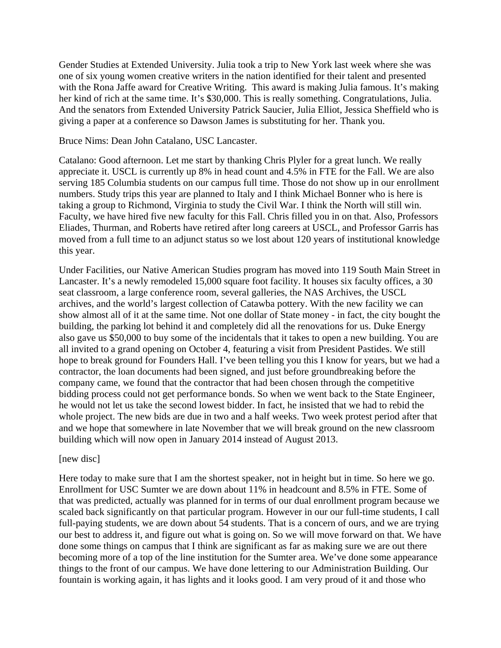Gender Studies at Extended University. Julia took a trip to New York last week where she was one of six young women creative writers in the nation identified for their talent and presented with the Rona Jaffe award for Creative Writing. This award is making Julia famous. It's making her kind of rich at the same time. It's \$30,000. This is really something. Congratulations, Julia. And the senators from Extended University Patrick Saucier, Julia Elliot, Jessica Sheffield who is giving a paper at a conference so Dawson James is substituting for her. Thank you.

Bruce Nims: Dean John Catalano, USC Lancaster.

Catalano: Good afternoon. Let me start by thanking Chris Plyler for a great lunch. We really appreciate it. USCL is currently up 8% in head count and 4.5% in FTE for the Fall. We are also serving 185 Columbia students on our campus full time. Those do not show up in our enrollment numbers. Study trips this year are planned to Italy and I think Michael Bonner who is here is taking a group to Richmond, Virginia to study the Civil War. I think the North will still win. Faculty, we have hired five new faculty for this Fall. Chris filled you in on that. Also, Professors Eliades, Thurman, and Roberts have retired after long careers at USCL, and Professor Garris has moved from a full time to an adjunct status so we lost about 120 years of institutional knowledge this year.

Under Facilities, our Native American Studies program has moved into 119 South Main Street in Lancaster. It's a newly remodeled 15,000 square foot facility. It houses six faculty offices, a 30 seat classroom, a large conference room, several galleries, the NAS Archives, the USCL archives, and the world's largest collection of Catawba pottery. With the new facility we can show almost all of it at the same time. Not one dollar of State money - in fact, the city bought the building, the parking lot behind it and completely did all the renovations for us. Duke Energy also gave us \$50,000 to buy some of the incidentals that it takes to open a new building. You are all invited to a grand opening on October 4, featuring a visit from President Pastides. We still hope to break ground for Founders Hall. I've been telling you this I know for years, but we had a contractor, the loan documents had been signed, and just before groundbreaking before the company came, we found that the contractor that had been chosen through the competitive bidding process could not get performance bonds. So when we went back to the State Engineer, he would not let us take the second lowest bidder. In fact, he insisted that we had to rebid the whole project. The new bids are due in two and a half weeks. Two week protest period after that and we hope that somewhere in late November that we will break ground on the new classroom building which will now open in January 2014 instead of August 2013.

#### [new disc]

Here today to make sure that I am the shortest speaker, not in height but in time. So here we go. Enrollment for USC Sumter we are down about 11% in headcount and 8.5% in FTE. Some of that was predicted, actually was planned for in terms of our dual enrollment program because we scaled back significantly on that particular program. However in our our full-time students, I call full-paying students, we are down about 54 students. That is a concern of ours, and we are trying our best to address it, and figure out what is going on. So we will move forward on that. We have done some things on campus that I think are significant as far as making sure we are out there becoming more of a top of the line institution for the Sumter area. We've done some appearance things to the front of our campus. We have done lettering to our Administration Building. Our fountain is working again, it has lights and it looks good. I am very proud of it and those who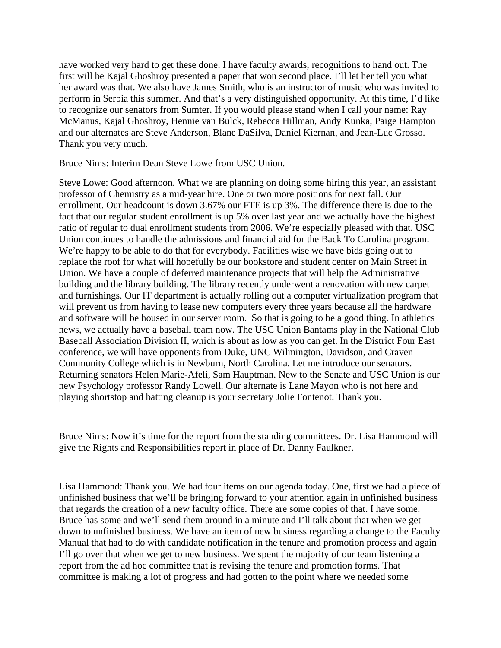have worked very hard to get these done. I have faculty awards, recognitions to hand out. The first will be Kajal Ghoshroy presented a paper that won second place. I'll let her tell you what her award was that. We also have James Smith, who is an instructor of music who was invited to perform in Serbia this summer. And that's a very distinguished opportunity. At this time, I'd like to recognize our senators from Sumter. If you would please stand when I call your name: Ray McManus, Kajal Ghoshroy, Hennie van Bulck, Rebecca Hillman, Andy Kunka, Paige Hampton and our alternates are Steve Anderson, Blane DaSilva, Daniel Kiernan, and Jean-Luc Grosso. Thank you very much.

Bruce Nims: Interim Dean Steve Lowe from USC Union.

Steve Lowe: Good afternoon. What we are planning on doing some hiring this year, an assistant professor of Chemistry as a mid-year hire. One or two more positions for next fall. Our enrollment. Our headcount is down 3.67% our FTE is up 3%. The difference there is due to the fact that our regular student enrollment is up 5% over last year and we actually have the highest ratio of regular to dual enrollment students from 2006. We're especially pleased with that. USC Union continues to handle the admissions and financial aid for the Back To Carolina program. We're happy to be able to do that for everybody. Facilities wise we have bids going out to replace the roof for what will hopefully be our bookstore and student center on Main Street in Union. We have a couple of deferred maintenance projects that will help the Administrative building and the library building. The library recently underwent a renovation with new carpet and furnishings. Our IT department is actually rolling out a computer virtualization program that will prevent us from having to lease new computers every three years because all the hardware and software will be housed in our server room. So that is going to be a good thing. In athletics news, we actually have a baseball team now. The USC Union Bantams play in the National Club Baseball Association Division II, which is about as low as you can get. In the District Four East conference, we will have opponents from Duke, UNC Wilmington, Davidson, and Craven Community College which is in Newburn, North Carolina. Let me introduce our senators. Returning senators Helen Marie-Afeli, Sam Hauptman. New to the Senate and USC Union is our new Psychology professor Randy Lowell. Our alternate is Lane Mayon who is not here and playing shortstop and batting cleanup is your secretary Jolie Fontenot. Thank you.

Bruce Nims: Now it's time for the report from the standing committees. Dr. Lisa Hammond will give the Rights and Responsibilities report in place of Dr. Danny Faulkner.

Lisa Hammond: Thank you. We had four items on our agenda today. One, first we had a piece of unfinished business that we'll be bringing forward to your attention again in unfinished business that regards the creation of a new faculty office. There are some copies of that. I have some. Bruce has some and we'll send them around in a minute and I'll talk about that when we get down to unfinished business. We have an item of new business regarding a change to the Faculty Manual that had to do with candidate notification in the tenure and promotion process and again I'll go over that when we get to new business. We spent the majority of our team listening a report from the ad hoc committee that is revising the tenure and promotion forms. That committee is making a lot of progress and had gotten to the point where we needed some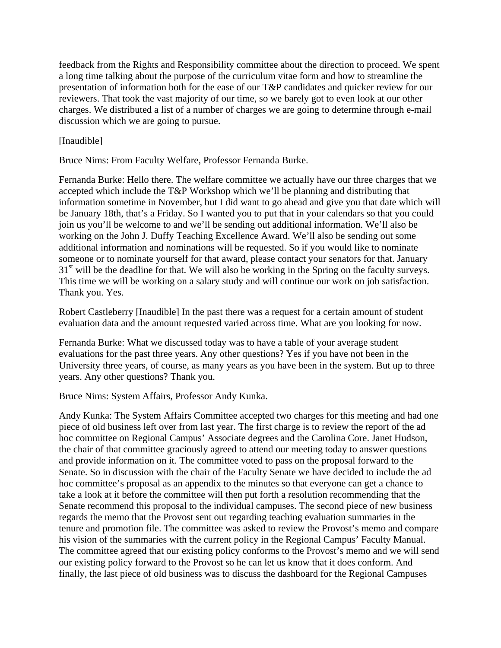feedback from the Rights and Responsibility committee about the direction to proceed. We spent a long time talking about the purpose of the curriculum vitae form and how to streamline the presentation of information both for the ease of our T&P candidates and quicker review for our reviewers. That took the vast majority of our time, so we barely got to even look at our other charges. We distributed a list of a number of charges we are going to determine through e-mail discussion which we are going to pursue.

[Inaudible]

Bruce Nims: From Faculty Welfare, Professor Fernanda Burke.

Fernanda Burke: Hello there. The welfare committee we actually have our three charges that we accepted which include the T&P Workshop which we'll be planning and distributing that information sometime in November, but I did want to go ahead and give you that date which will be January 18th, that's a Friday. So I wanted you to put that in your calendars so that you could join us you'll be welcome to and we'll be sending out additional information. We'll also be working on the John J. Duffy Teaching Excellence Award. We'll also be sending out some additional information and nominations will be requested. So if you would like to nominate someone or to nominate yourself for that award, please contact your senators for that. January  $31<sup>st</sup>$  will be the deadline for that. We will also be working in the Spring on the faculty surveys. This time we will be working on a salary study and will continue our work on job satisfaction. Thank you. Yes.

Robert Castleberry [Inaudible] In the past there was a request for a certain amount of student evaluation data and the amount requested varied across time. What are you looking for now.

Fernanda Burke: What we discussed today was to have a table of your average student evaluations for the past three years. Any other questions? Yes if you have not been in the University three years, of course, as many years as you have been in the system. But up to three years. Any other questions? Thank you.

Bruce Nims: System Affairs, Professor Andy Kunka.

Andy Kunka: The System Affairs Committee accepted two charges for this meeting and had one piece of old business left over from last year. The first charge is to review the report of the ad hoc committee on Regional Campus' Associate degrees and the Carolina Core. Janet Hudson, the chair of that committee graciously agreed to attend our meeting today to answer questions and provide information on it. The committee voted to pass on the proposal forward to the Senate. So in discussion with the chair of the Faculty Senate we have decided to include the ad hoc committee's proposal as an appendix to the minutes so that everyone can get a chance to take a look at it before the committee will then put forth a resolution recommending that the Senate recommend this proposal to the individual campuses. The second piece of new business regards the memo that the Provost sent out regarding teaching evaluation summaries in the tenure and promotion file. The committee was asked to review the Provost's memo and compare his vision of the summaries with the current policy in the Regional Campus' Faculty Manual. The committee agreed that our existing policy conforms to the Provost's memo and we will send our existing policy forward to the Provost so he can let us know that it does conform. And finally, the last piece of old business was to discuss the dashboard for the Regional Campuses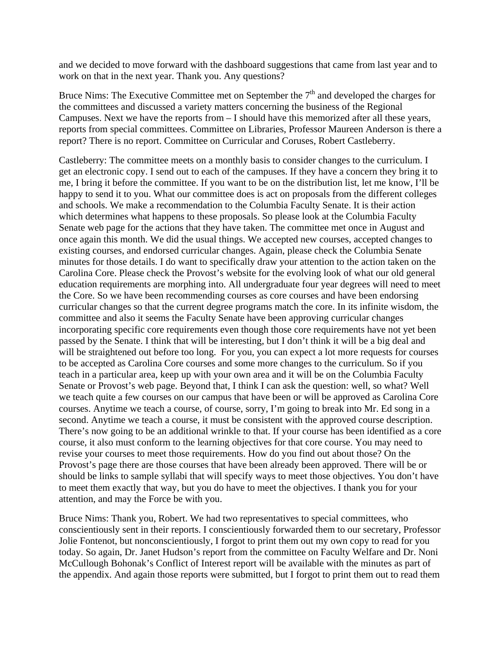and we decided to move forward with the dashboard suggestions that came from last year and to work on that in the next year. Thank you. Any questions?

Bruce Nims: The Executive Committee met on September the  $7<sup>th</sup>$  and developed the charges for the committees and discussed a variety matters concerning the business of the Regional Campuses. Next we have the reports from – I should have this memorized after all these years, reports from special committees. Committee on Libraries, Professor Maureen Anderson is there a report? There is no report. Committee on Curricular and Coruses, Robert Castleberry.

Castleberry: The committee meets on a monthly basis to consider changes to the curriculum. I get an electronic copy. I send out to each of the campuses. If they have a concern they bring it to me, I bring it before the committee. If you want to be on the distribution list, let me know, I'll be happy to send it to you. What our committee does is act on proposals from the different colleges and schools. We make a recommendation to the Columbia Faculty Senate. It is their action which determines what happens to these proposals. So please look at the Columbia Faculty Senate web page for the actions that they have taken. The committee met once in August and once again this month. We did the usual things. We accepted new courses, accepted changes to existing courses, and endorsed curricular changes. Again, please check the Columbia Senate minutes for those details. I do want to specifically draw your attention to the action taken on the Carolina Core. Please check the Provost's website for the evolving look of what our old general education requirements are morphing into. All undergraduate four year degrees will need to meet the Core. So we have been recommending courses as core courses and have been endorsing curricular changes so that the current degree programs match the core. In its infinite wisdom, the committee and also it seems the Faculty Senate have been approving curricular changes incorporating specific core requirements even though those core requirements have not yet been passed by the Senate. I think that will be interesting, but I don't think it will be a big deal and will be straightened out before too long. For you, you can expect a lot more requests for courses to be accepted as Carolina Core courses and some more changes to the curriculum. So if you teach in a particular area, keep up with your own area and it will be on the Columbia Faculty Senate or Provost's web page. Beyond that, I think I can ask the question: well, so what? Well we teach quite a few courses on our campus that have been or will be approved as Carolina Core courses. Anytime we teach a course, of course, sorry, I'm going to break into Mr. Ed song in a second. Anytime we teach a course, it must be consistent with the approved course description. There's now going to be an additional wrinkle to that. If your course has been identified as a core course, it also must conform to the learning objectives for that core course. You may need to revise your courses to meet those requirements. How do you find out about those? On the Provost's page there are those courses that have been already been approved. There will be or should be links to sample syllabi that will specify ways to meet those objectives. You don't have to meet them exactly that way, but you do have to meet the objectives. I thank you for your attention, and may the Force be with you.

Bruce Nims: Thank you, Robert. We had two representatives to special committees, who conscientiously sent in their reports. I conscientiously forwarded them to our secretary, Professor Jolie Fontenot, but nonconscientiously, I forgot to print them out my own copy to read for you today. So again, Dr. Janet Hudson's report from the committee on Faculty Welfare and Dr. Noni McCullough Bohonak's Conflict of Interest report will be available with the minutes as part of the appendix. And again those reports were submitted, but I forgot to print them out to read them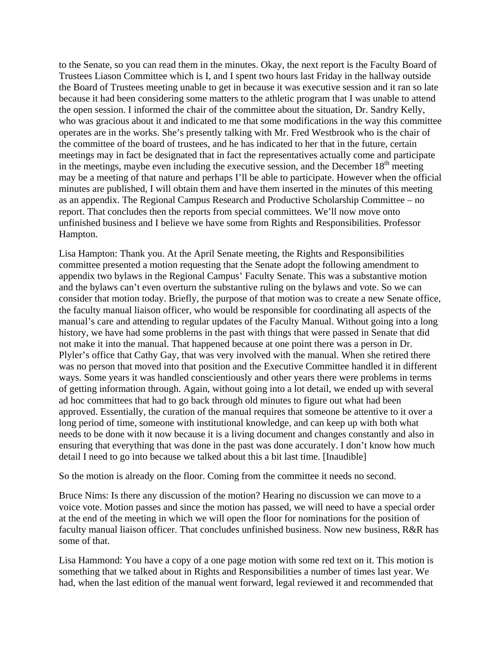to the Senate, so you can read them in the minutes. Okay, the next report is the Faculty Board of Trustees Liason Committee which is I, and I spent two hours last Friday in the hallway outside the Board of Trustees meeting unable to get in because it was executive session and it ran so late because it had been considering some matters to the athletic program that I was unable to attend the open session. I informed the chair of the committee about the situation, Dr. Sandry Kelly, who was gracious about it and indicated to me that some modifications in the way this committee operates are in the works. She's presently talking with Mr. Fred Westbrook who is the chair of the committee of the board of trustees, and he has indicated to her that in the future, certain meetings may in fact be designated that in fact the representatives actually come and participate in the meetings, maybe even including the executive session, and the December  $18<sup>th</sup>$  meeting may be a meeting of that nature and perhaps I'll be able to participate. However when the official minutes are published, I will obtain them and have them inserted in the minutes of this meeting as an appendix. The Regional Campus Research and Productive Scholarship Committee – no report. That concludes then the reports from special committees. We'll now move onto unfinished business and I believe we have some from Rights and Responsibilities. Professor Hampton.

Lisa Hampton: Thank you. At the April Senate meeting, the Rights and Responsibilities committee presented a motion requesting that the Senate adopt the following amendment to appendix two bylaws in the Regional Campus' Faculty Senate. This was a substantive motion and the bylaws can't even overturn the substantive ruling on the bylaws and vote. So we can consider that motion today. Briefly, the purpose of that motion was to create a new Senate office, the faculty manual liaison officer, who would be responsible for coordinating all aspects of the manual's care and attending to regular updates of the Faculty Manual. Without going into a long history, we have had some problems in the past with things that were passed in Senate that did not make it into the manual. That happened because at one point there was a person in Dr. Plyler's office that Cathy Gay, that was very involved with the manual. When she retired there was no person that moved into that position and the Executive Committee handled it in different ways. Some years it was handled conscientiously and other years there were problems in terms of getting information through. Again, without going into a lot detail, we ended up with several ad hoc committees that had to go back through old minutes to figure out what had been approved. Essentially, the curation of the manual requires that someone be attentive to it over a long period of time, someone with institutional knowledge, and can keep up with both what needs to be done with it now because it is a living document and changes constantly and also in ensuring that everything that was done in the past was done accurately. I don't know how much detail I need to go into because we talked about this a bit last time. [Inaudible]

So the motion is already on the floor. Coming from the committee it needs no second.

Bruce Nims: Is there any discussion of the motion? Hearing no discussion we can move to a voice vote. Motion passes and since the motion has passed, we will need to have a special order at the end of the meeting in which we will open the floor for nominations for the position of faculty manual liaison officer. That concludes unfinished business. Now new business, R&R has some of that.

Lisa Hammond: You have a copy of a one page motion with some red text on it. This motion is something that we talked about in Rights and Responsibilities a number of times last year. We had, when the last edition of the manual went forward, legal reviewed it and recommended that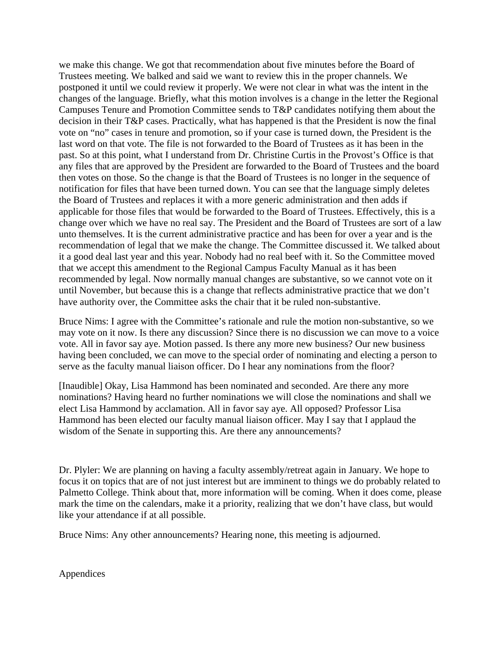we make this change. We got that recommendation about five minutes before the Board of Trustees meeting. We balked and said we want to review this in the proper channels. We postponed it until we could review it properly. We were not clear in what was the intent in the changes of the language. Briefly, what this motion involves is a change in the letter the Regional Campuses Tenure and Promotion Committee sends to T&P candidates notifying them about the decision in their T&P cases. Practically, what has happened is that the President is now the final vote on "no" cases in tenure and promotion, so if your case is turned down, the President is the last word on that vote. The file is not forwarded to the Board of Trustees as it has been in the past. So at this point, what I understand from Dr. Christine Curtis in the Provost's Office is that any files that are approved by the President are forwarded to the Board of Trustees and the board then votes on those. So the change is that the Board of Trustees is no longer in the sequence of notification for files that have been turned down. You can see that the language simply deletes the Board of Trustees and replaces it with a more generic administration and then adds if applicable for those files that would be forwarded to the Board of Trustees. Effectively, this is a change over which we have no real say. The President and the Board of Trustees are sort of a law unto themselves. It is the current administrative practice and has been for over a year and is the recommendation of legal that we make the change. The Committee discussed it. We talked about it a good deal last year and this year. Nobody had no real beef with it. So the Committee moved that we accept this amendment to the Regional Campus Faculty Manual as it has been recommended by legal. Now normally manual changes are substantive, so we cannot vote on it until November, but because this is a change that reflects administrative practice that we don't have authority over, the Committee asks the chair that it be ruled non-substantive.

Bruce Nims: I agree with the Committee's rationale and rule the motion non-substantive, so we may vote on it now. Is there any discussion? Since there is no discussion we can move to a voice vote. All in favor say aye. Motion passed. Is there any more new business? Our new business having been concluded, we can move to the special order of nominating and electing a person to serve as the faculty manual liaison officer. Do I hear any nominations from the floor?

[Inaudible] Okay, Lisa Hammond has been nominated and seconded. Are there any more nominations? Having heard no further nominations we will close the nominations and shall we elect Lisa Hammond by acclamation. All in favor say aye. All opposed? Professor Lisa Hammond has been elected our faculty manual liaison officer. May I say that I applaud the wisdom of the Senate in supporting this. Are there any announcements?

Dr. Plyler: We are planning on having a faculty assembly/retreat again in January. We hope to focus it on topics that are of not just interest but are imminent to things we do probably related to Palmetto College. Think about that, more information will be coming. When it does come, please mark the time on the calendars, make it a priority, realizing that we don't have class, but would like your attendance if at all possible.

Bruce Nims: Any other announcements? Hearing none, this meeting is adjourned.

Appendices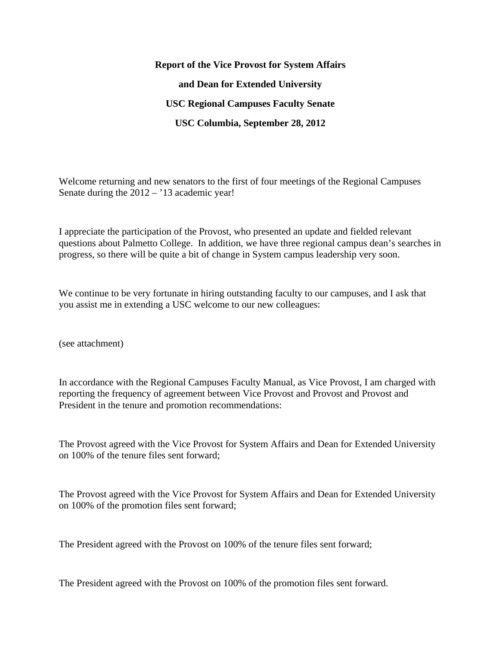**Report of the Vice Provost for System Affairs and Dean for Extended University USC Regional Campuses Faculty Senate USC Columbia, September 28, 2012** 

Welcome returning and new senators to the first of four meetings of the Regional Campuses Senate during the 2012 – '13 academic year!

I appreciate the participation of the Provost, who presented an update and fielded relevant questions about Palmetto College. In addition, we have three regional campus dean's searches in progress, so there will be quite a bit of change in System campus leadership very soon.

We continue to be very fortunate in hiring outstanding faculty to our campuses, and I ask that you assist me in extending a USC welcome to our new colleagues:

(see attachment)

In accordance with the Regional Campuses Faculty Manual, as Vice Provost, I am charged with reporting the frequency of agreement between Vice Provost and Provost and Provost and President in the tenure and promotion recommendations:

The Provost agreed with the Vice Provost for System Affairs and Dean for Extended University on 100% of the tenure files sent forward;

The Provost agreed with the Vice Provost for System Affairs and Dean for Extended University on 100% of the promotion files sent forward;

The President agreed with the Provost on 100% of the tenure files sent forward;

The President agreed with the Provost on 100% of the promotion files sent forward.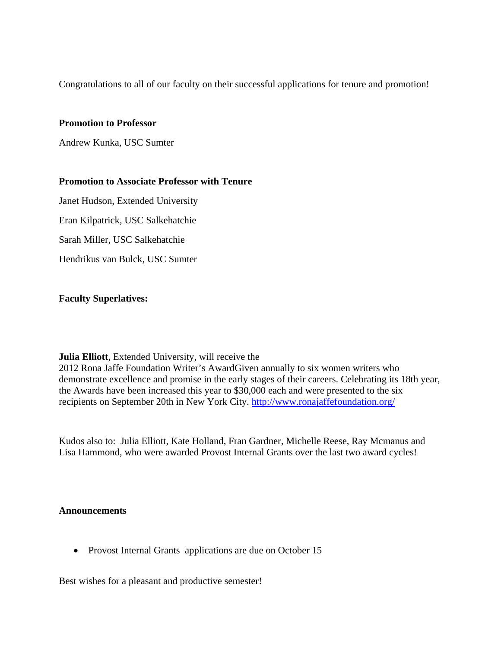Congratulations to all of our faculty on their successful applications for tenure and promotion!

#### **Promotion to Professor**

Andrew Kunka, USC Sumter

## **Promotion to Associate Professor with Tenure**

Janet Hudson, Extended University

Eran Kilpatrick, USC Salkehatchie

Sarah Miller, USC Salkehatchie

Hendrikus van Bulck, USC Sumter

## **Faculty Superlatives:**

## **Julia Elliott**, Extended University, will receive the

2012 Rona Jaffe Foundation Writer's AwardGiven annually to six women writers who demonstrate excellence and promise in the early stages of their careers. Celebrating its 18th year, the Awards have been increased this year to \$30,000 each and were presented to the six recipients on September 20th in New York City. http://www.ronajaffefoundation.org/

Kudos also to: Julia Elliott, Kate Holland, Fran Gardner, Michelle Reese, Ray Mcmanus and Lisa Hammond, who were awarded Provost Internal Grants over the last two award cycles!

## **Announcements**

• Provost Internal Grants applications are due on October 15

Best wishes for a pleasant and productive semester!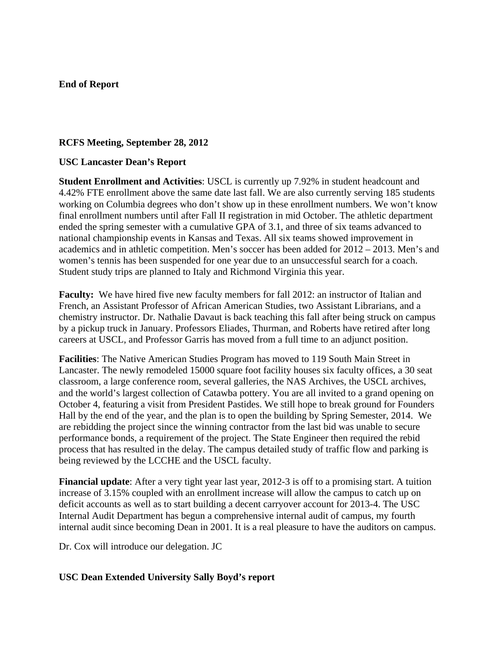## **End of Report**

## **RCFS Meeting, September 28, 2012**

#### **USC Lancaster Dean's Report**

**Student Enrollment and Activities**: USCL is currently up 7.92% in student headcount and 4.42% FTE enrollment above the same date last fall. We are also currently serving 185 students working on Columbia degrees who don't show up in these enrollment numbers. We won't know final enrollment numbers until after Fall II registration in mid October. The athletic department ended the spring semester with a cumulative GPA of 3.1, and three of six teams advanced to national championship events in Kansas and Texas. All six teams showed improvement in academics and in athletic competition. Men's soccer has been added for 2012 – 2013. Men's and women's tennis has been suspended for one year due to an unsuccessful search for a coach. Student study trips are planned to Italy and Richmond Virginia this year.

**Faculty:** We have hired five new faculty members for fall 2012: an instructor of Italian and French, an Assistant Professor of African American Studies, two Assistant Librarians, and a chemistry instructor. Dr. Nathalie Davaut is back teaching this fall after being struck on campus by a pickup truck in January. Professors Eliades, Thurman, and Roberts have retired after long careers at USCL, and Professor Garris has moved from a full time to an adjunct position.

**Facilities**: The Native American Studies Program has moved to 119 South Main Street in Lancaster. The newly remodeled 15000 square foot facility houses six faculty offices, a 30 seat classroom, a large conference room, several galleries, the NAS Archives, the USCL archives, and the world's largest collection of Catawba pottery. You are all invited to a grand opening on October 4, featuring a visit from President Pastides. We still hope to break ground for Founders Hall by the end of the year, and the plan is to open the building by Spring Semester, 2014. We are rebidding the project since the winning contractor from the last bid was unable to secure performance bonds, a requirement of the project. The State Engineer then required the rebid process that has resulted in the delay. The campus detailed study of traffic flow and parking is being reviewed by the LCCHE and the USCL faculty.

**Financial update**: After a very tight year last year, 2012-3 is off to a promising start. A tuition increase of 3.15% coupled with an enrollment increase will allow the campus to catch up on deficit accounts as well as to start building a decent carryover account for 2013-4. The USC Internal Audit Department has begun a comprehensive internal audit of campus, my fourth internal audit since becoming Dean in 2001. It is a real pleasure to have the auditors on campus.

Dr. Cox will introduce our delegation. JC

## **USC Dean Extended University Sally Boyd's report**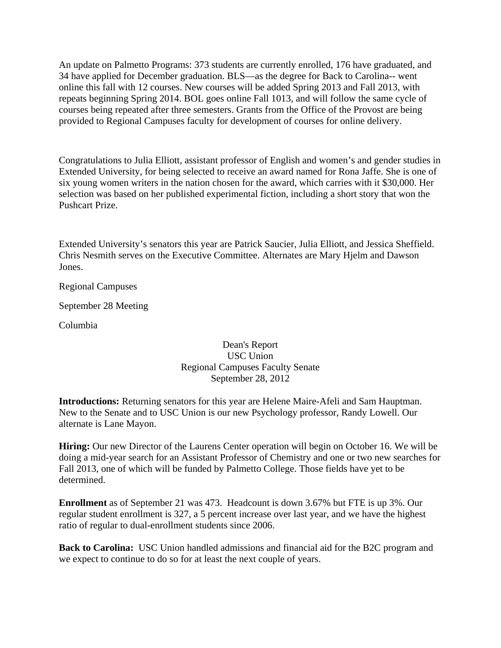An update on Palmetto Programs: 373 students are currently enrolled, 176 have graduated, and 34 have applied for December graduation. BLS—as the degree for Back to Carolina-- went online this fall with 12 courses. New courses will be added Spring 2013 and Fall 2013, with repeats beginning Spring 2014. BOL goes online Fall 1013, and will follow the same cycle of courses being repeated after three semesters. Grants from the Office of the Provost are being provided to Regional Campuses faculty for development of courses for online delivery.

Congratulations to Julia Elliott, assistant professor of English and women's and gender studies in Extended University, for being selected to receive an award named for Rona Jaffe. She is one of six young women writers in the nation chosen for the award, which carries with it \$30,000. Her selection was based on her published experimental fiction, including a short story that won the Pushcart Prize.

Extended University's senators this year are Patrick Saucier, Julia Elliott, and Jessica Sheffield. Chris Nesmith serves on the Executive Committee. Alternates are Mary Hjelm and Dawson Jones.

Regional Campuses

September 28 Meeting

Columbia

## Dean's Report USC Union Regional Campuses Faculty Senate September 28, 2012

**Introductions:** Returning senators for this year are Helene Maire-Afeli and Sam Hauptman. New to the Senate and to USC Union is our new Psychology professor, Randy Lowell. Our alternate is Lane Mayon.

**Hiring:** Our new Director of the Laurens Center operation will begin on October 16. We will be doing a mid-year search for an Assistant Professor of Chemistry and one or two new searches for Fall 2013, one of which will be funded by Palmetto College. Those fields have yet to be determined.

**Enrollment** as of September 21 was 473. Headcount is down 3.67% but FTE is up 3%. Our regular student enrollment is 327, a 5 percent increase over last year, and we have the highest ratio of regular to dual-enrollment students since 2006.

**Back to Carolina:** USC Union handled admissions and financial aid for the B2C program and we expect to continue to do so for at least the next couple of years.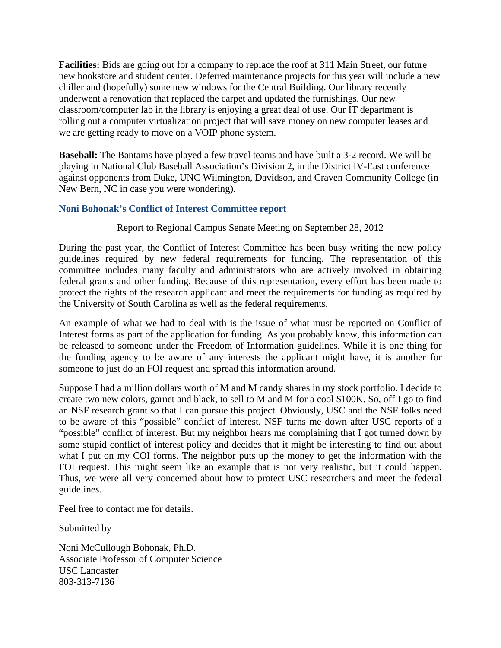**Facilities:** Bids are going out for a company to replace the roof at 311 Main Street, our future new bookstore and student center. Deferred maintenance projects for this year will include a new chiller and (hopefully) some new windows for the Central Building. Our library recently underwent a renovation that replaced the carpet and updated the furnishings. Our new classroom/computer lab in the library is enjoying a great deal of use. Our IT department is rolling out a computer virtualization project that will save money on new computer leases and we are getting ready to move on a VOIP phone system.

**Baseball:** The Bantams have played a few travel teams and have built a 3-2 record. We will be playing in National Club Baseball Association's Division 2, in the District IV-East conference against opponents from Duke, UNC Wilmington, Davidson, and Craven Community College (in New Bern, NC in case you were wondering).

## **Noni Bohonak's Conflict of Interest Committee report**

#### Report to Regional Campus Senate Meeting on September 28, 2012

During the past year, the Conflict of Interest Committee has been busy writing the new policy guidelines required by new federal requirements for funding. The representation of this committee includes many faculty and administrators who are actively involved in obtaining federal grants and other funding. Because of this representation, every effort has been made to protect the rights of the research applicant and meet the requirements for funding as required by the University of South Carolina as well as the federal requirements.

An example of what we had to deal with is the issue of what must be reported on Conflict of Interest forms as part of the application for funding. As you probably know, this information can be released to someone under the Freedom of Information guidelines. While it is one thing for the funding agency to be aware of any interests the applicant might have, it is another for someone to just do an FOI request and spread this information around.

Suppose I had a million dollars worth of M and M candy shares in my stock portfolio. I decide to create two new colors, garnet and black, to sell to M and M for a cool \$100K. So, off I go to find an NSF research grant so that I can pursue this project. Obviously, USC and the NSF folks need to be aware of this "possible" conflict of interest. NSF turns me down after USC reports of a "possible" conflict of interest. But my neighbor hears me complaining that I got turned down by some stupid conflict of interest policy and decides that it might be interesting to find out about what I put on my COI forms. The neighbor puts up the money to get the information with the FOI request. This might seem like an example that is not very realistic, but it could happen. Thus, we were all very concerned about how to protect USC researchers and meet the federal guidelines.

Feel free to contact me for details.

Submitted by

Noni McCullough Bohonak, Ph.D. Associate Professor of Computer Science USC Lancaster 803-313-7136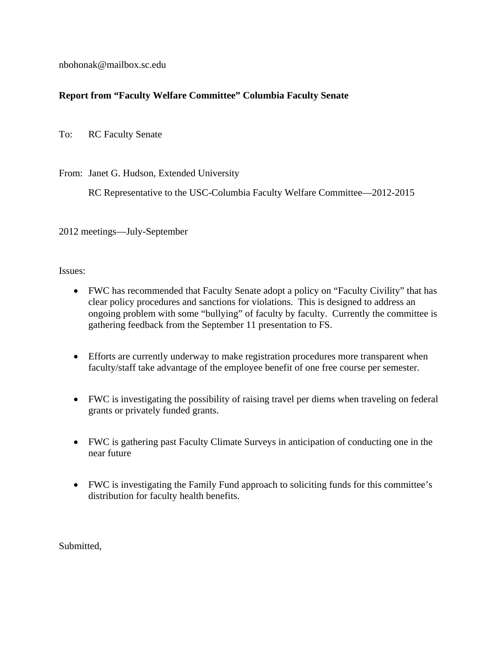nbohonak@mailbox.sc.edu

# **Report from "Faculty Welfare Committee" Columbia Faculty Senate**

To: RC Faculty Senate

From: Janet G. Hudson, Extended University

RC Representative to the USC-Columbia Faculty Welfare Committee—2012-2015

2012 meetings—July-September

Issues:

- FWC has recommended that Faculty Senate adopt a policy on "Faculty Civility" that has clear policy procedures and sanctions for violations. This is designed to address an ongoing problem with some "bullying" of faculty by faculty. Currently the committee is gathering feedback from the September 11 presentation to FS.
- Efforts are currently underway to make registration procedures more transparent when faculty/staff take advantage of the employee benefit of one free course per semester.
- FWC is investigating the possibility of raising travel per diems when traveling on federal grants or privately funded grants.
- FWC is gathering past Faculty Climate Surveys in anticipation of conducting one in the near future
- FWC is investigating the Family Fund approach to soliciting funds for this committee's distribution for faculty health benefits.

Submitted,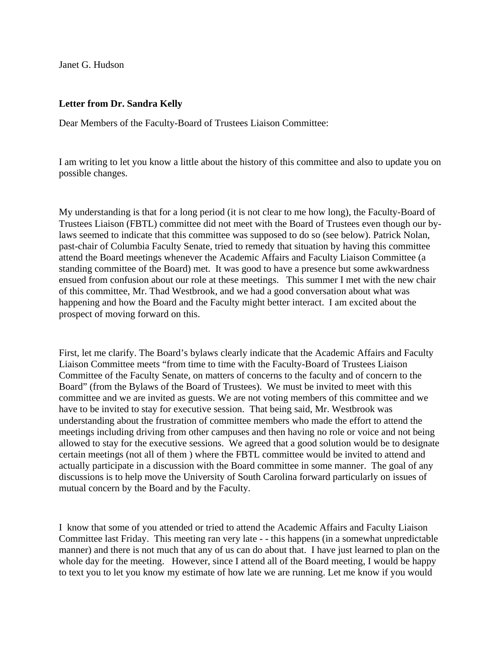Janet G. Hudson

## **Letter from Dr. Sandra Kelly**

Dear Members of the Faculty-Board of Trustees Liaison Committee:

I am writing to let you know a little about the history of this committee and also to update you on possible changes.

My understanding is that for a long period (it is not clear to me how long), the Faculty-Board of Trustees Liaison (FBTL) committee did not meet with the Board of Trustees even though our bylaws seemed to indicate that this committee was supposed to do so (see below). Patrick Nolan, past-chair of Columbia Faculty Senate, tried to remedy that situation by having this committee attend the Board meetings whenever the Academic Affairs and Faculty Liaison Committee (a standing committee of the Board) met. It was good to have a presence but some awkwardness ensued from confusion about our role at these meetings. This summer I met with the new chair of this committee, Mr. Thad Westbrook, and we had a good conversation about what was happening and how the Board and the Faculty might better interact. I am excited about the prospect of moving forward on this.

First, let me clarify. The Board's bylaws clearly indicate that the Academic Affairs and Faculty Liaison Committee meets "from time to time with the Faculty-Board of Trustees Liaison Committee of the Faculty Senate, on matters of concerns to the faculty and of concern to the Board" (from the Bylaws of the Board of Trustees). We must be invited to meet with this committee and we are invited as guests. We are not voting members of this committee and we have to be invited to stay for executive session. That being said, Mr. Westbrook was understanding about the frustration of committee members who made the effort to attend the meetings including driving from other campuses and then having no role or voice and not being allowed to stay for the executive sessions. We agreed that a good solution would be to designate certain meetings (not all of them ) where the FBTL committee would be invited to attend and actually participate in a discussion with the Board committee in some manner. The goal of any discussions is to help move the University of South Carolina forward particularly on issues of mutual concern by the Board and by the Faculty.

I know that some of you attended or tried to attend the Academic Affairs and Faculty Liaison Committee last Friday. This meeting ran very late - - this happens (in a somewhat unpredictable manner) and there is not much that any of us can do about that. I have just learned to plan on the whole day for the meeting. However, since I attend all of the Board meeting, I would be happy to text you to let you know my estimate of how late we are running. Let me know if you would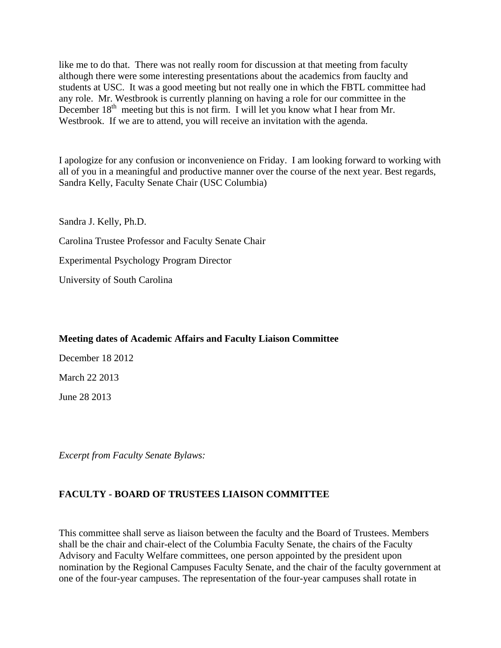like me to do that. There was not really room for discussion at that meeting from faculty although there were some interesting presentations about the academics from fauclty and students at USC. It was a good meeting but not really one in which the FBTL committee had any role. Mr. Westbrook is currently planning on having a role for our committee in the December  $18<sup>th</sup>$  meeting but this is not firm. I will let you know what I hear from Mr. Westbrook. If we are to attend, you will receive an invitation with the agenda.

I apologize for any confusion or inconvenience on Friday. I am looking forward to working with all of you in a meaningful and productive manner over the course of the next year. Best regards, Sandra Kelly, Faculty Senate Chair (USC Columbia)

Sandra J. Kelly, Ph.D.

Carolina Trustee Professor and Faculty Senate Chair

Experimental Psychology Program Director

University of South Carolina

## **Meeting dates of Academic Affairs and Faculty Liaison Committee**

December 18 2012

March 22 2013

June 28 2013

*Excerpt from Faculty Senate Bylaws:* 

# **FACULTY - BOARD OF TRUSTEES LIAISON COMMITTEE**

This committee shall serve as liaison between the faculty and the Board of Trustees. Members shall be the chair and chair-elect of the Columbia Faculty Senate, the chairs of the Faculty Advisory and Faculty Welfare committees, one person appointed by the president upon nomination by the Regional Campuses Faculty Senate, and the chair of the faculty government at one of the four-year campuses. The representation of the four-year campuses shall rotate in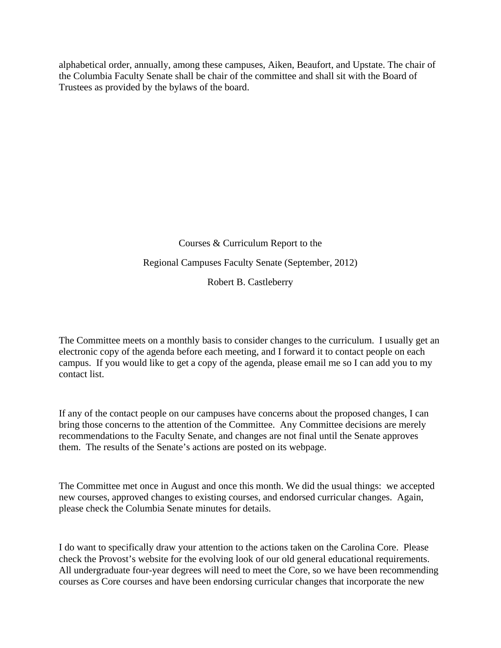alphabetical order, annually, among these campuses, Aiken, Beaufort, and Upstate. The chair of the Columbia Faculty Senate shall be chair of the committee and shall sit with the Board of Trustees as provided by the bylaws of the board.

> Courses & Curriculum Report to the Regional Campuses Faculty Senate (September, 2012) Robert B. Castleberry

The Committee meets on a monthly basis to consider changes to the curriculum. I usually get an electronic copy of the agenda before each meeting, and I forward it to contact people on each campus. If you would like to get a copy of the agenda, please email me so I can add you to my contact list.

If any of the contact people on our campuses have concerns about the proposed changes, I can bring those concerns to the attention of the Committee. Any Committee decisions are merely recommendations to the Faculty Senate, and changes are not final until the Senate approves them. The results of the Senate's actions are posted on its webpage.

The Committee met once in August and once this month. We did the usual things: we accepted new courses, approved changes to existing courses, and endorsed curricular changes. Again, please check the Columbia Senate minutes for details.

I do want to specifically draw your attention to the actions taken on the Carolina Core. Please check the Provost's website for the evolving look of our old general educational requirements. All undergraduate four-year degrees will need to meet the Core, so we have been recommending courses as Core courses and have been endorsing curricular changes that incorporate the new